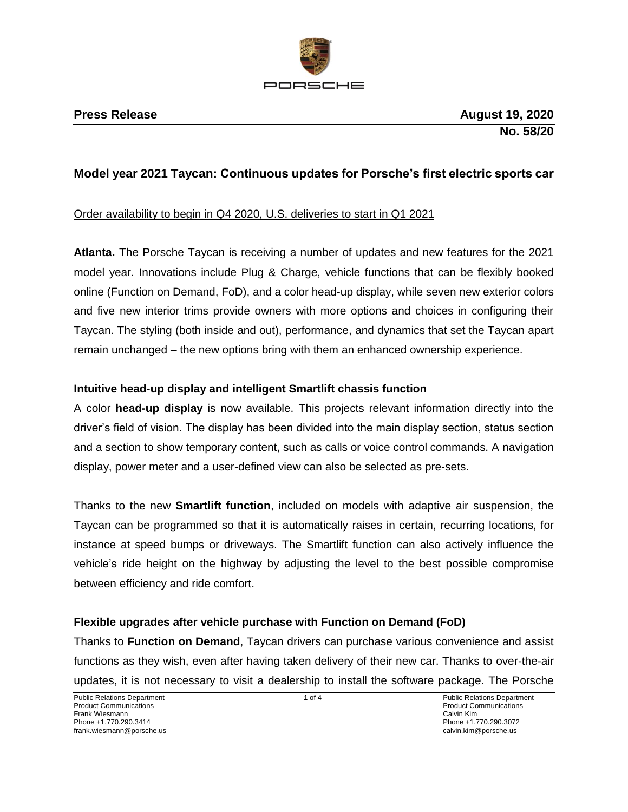

# **Model year 2021 Taycan: Continuous updates for Porsche's first electric sports car**

### Order availability to begin in Q4 2020, U.S. deliveries to start in Q1 2021

**Atlanta.** The Porsche Taycan is receiving a number of updates and new features for the 2021 model year. Innovations include Plug & Charge, vehicle functions that can be flexibly booked online (Function on Demand, FoD), and a color head-up display, while seven new exterior colors and five new interior trims provide owners with more options and choices in configuring their Taycan. The styling (both inside and out), performance, and dynamics that set the Taycan apart remain unchanged – the new options bring with them an enhanced ownership experience.

### **Intuitive head-up display and intelligent Smartlift chassis function**

A color **head-up display** is now available. This projects relevant information directly into the driver's field of vision. The display has been divided into the main display section, status section and a section to show temporary content, such as calls or voice control commands. A navigation display, power meter and a user-defined view can also be selected as pre-sets.

Thanks to the new **Smartlift function**, included on models with adaptive air suspension, the Taycan can be programmed so that it is automatically raises in certain, recurring locations, for instance at speed bumps or driveways. The Smartlift function can also actively influence the vehicle's ride height on the highway by adjusting the level to the best possible compromise between efficiency and ride comfort.

# **Flexible upgrades after vehicle purchase with Function on Demand (FoD)**

Thanks to **Function on Demand**, Taycan drivers can purchase various convenience and assist functions as they wish, even after having taken delivery of their new car. Thanks to over-the-air updates, it is not necessary to visit a dealership to install the software package. The Porsche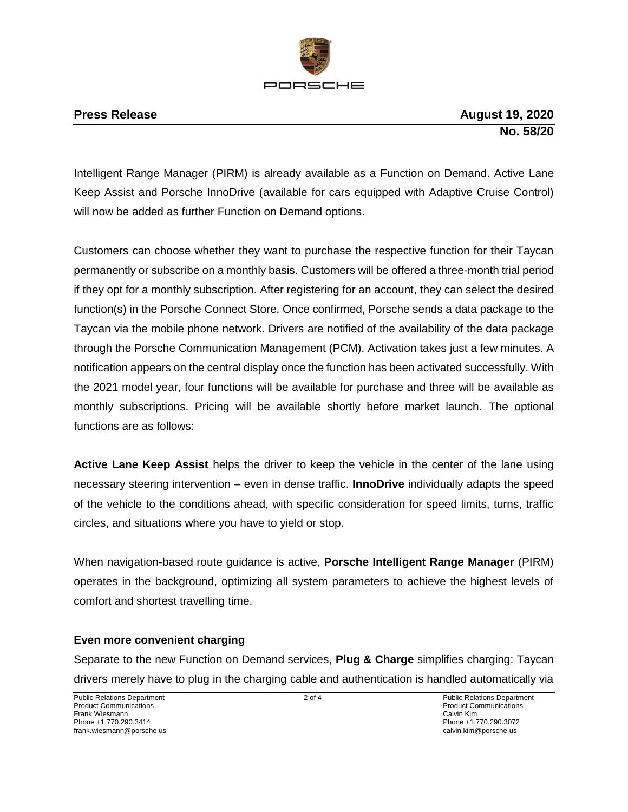

Intelligent Range Manager (PIRM) is already available as a Function on Demand. Active Lane Keep Assist and Porsche InnoDrive (available for cars equipped with Adaptive Cruise Control) will now be added as further Function on Demand options.

Customers can choose whether they want to purchase the respective function for their Taycan permanently or subscribe on a monthly basis. Customers will be offered a three-month trial period if they opt for a monthly subscription. After registering for an account, they can select the desired function(s) in the Porsche Connect Store. Once confirmed, Porsche sends a data package to the Taycan via the mobile phone network. Drivers are notified of the availability of the data package through the Porsche Communication Management (PCM). Activation takes just a few minutes. A notification appears on the central display once the function has been activated successfully. With the 2021 model year, four functions will be available for purchase and three will be available as monthly subscriptions. Pricing will be available shortly before market launch. The optional functions are as follows:

**Active Lane Keep Assist** helps the driver to keep the vehicle in the center of the lane using necessary steering intervention – even in dense traffic. **InnoDrive** individually adapts the speed of the vehicle to the conditions ahead, with specific consideration for speed limits, turns, traffic circles, and situations where you have to yield or stop.

When navigation-based route guidance is active, **Porsche Intelligent Range Manager** (PIRM) operates in the background, optimizing all system parameters to achieve the highest levels of comfort and shortest travelling time.

# **Even more convenient charging**

Separate to the new Function on Demand services, **Plug & Charge** simplifies charging: Taycan drivers merely have to plug in the charging cable and authentication is handled automatically via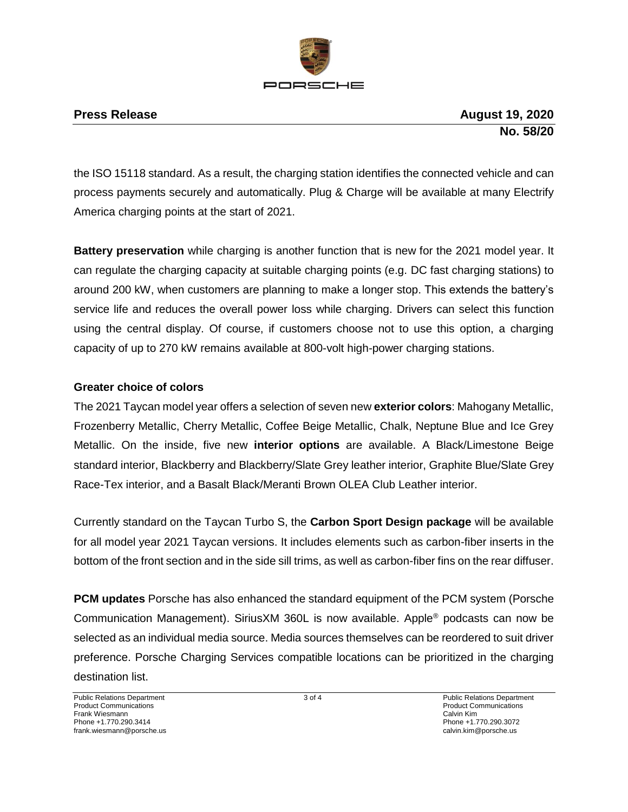

the ISO 15118 standard. As a result, the charging station identifies the connected vehicle and can process payments securely and automatically. Plug & Charge will be available at many Electrify America charging points at the start of 2021.

**Battery preservation** while charging is another function that is new for the 2021 model year. It can regulate the charging capacity at suitable charging points (e.g. DC fast charging stations) to around 200 kW, when customers are planning to make a longer stop. This extends the battery's service life and reduces the overall power loss while charging. Drivers can select this function using the central display. Of course, if customers choose not to use this option, a charging capacity of up to 270 kW remains available at 800-volt high-power charging stations.

# **Greater choice of colors**

The 2021 Taycan model year offers a selection of seven new **exterior colors**: Mahogany Metallic, Frozenberry Metallic, Cherry Metallic, Coffee Beige Metallic, Chalk, Neptune Blue and Ice Grey Metallic. On the inside, five new **interior options** are available. A Black/Limestone Beige standard interior, Blackberry and Blackberry/Slate Grey leather interior, Graphite Blue/Slate Grey Race-Tex interior, and a Basalt Black/Meranti Brown OLEA Club Leather interior.

Currently standard on the Taycan Turbo S, the **Carbon Sport Design package** will be available for all model year 2021 Taycan versions. It includes elements such as carbon-fiber inserts in the bottom of the front section and in the side sill trims, as well as carbon-fiber fins on the rear diffuser.

**PCM updates** Porsche has also enhanced the standard equipment of the PCM system (Porsche Communication Management). SiriusXM 360L is now available. Apple® podcasts can now be selected as an individual media source. Media sources themselves can be reordered to suit driver preference. Porsche Charging Services compatible locations can be prioritized in the charging destination list.